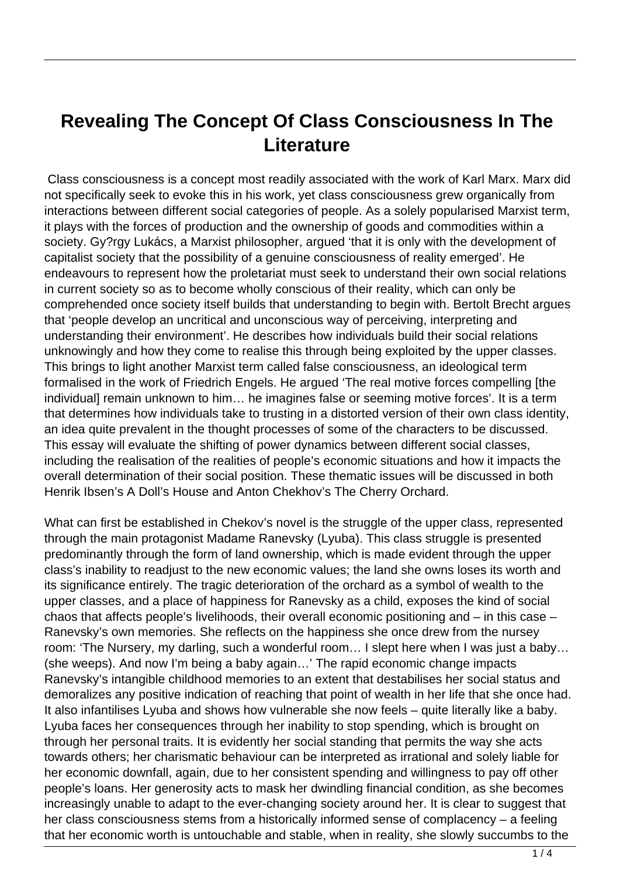## **Revealing The Concept Of Class Consciousness In The Literature**

 Class consciousness is a concept most readily associated with the work of Karl Marx. Marx did not specifically seek to evoke this in his work, yet class consciousness grew organically from interactions between different social categories of people. As a solely popularised Marxist term, it plays with the forces of production and the ownership of goods and commodities within a society. Gy?rgy Lukács, a Marxist philosopher, argued 'that it is only with the development of capitalist society that the possibility of a genuine consciousness of reality emerged'. He endeavours to represent how the proletariat must seek to understand their own social relations in current society so as to become wholly conscious of their reality, which can only be comprehended once society itself builds that understanding to begin with. Bertolt Brecht argues that 'people develop an uncritical and unconscious way of perceiving, interpreting and understanding their environment'. He describes how individuals build their social relations unknowingly and how they come to realise this through being exploited by the upper classes. This brings to light another Marxist term called false consciousness, an ideological term formalised in the work of Friedrich Engels. He argued 'The real motive forces compelling [the individual] remain unknown to him… he imagines false or seeming motive forces'. It is a term that determines how individuals take to trusting in a distorted version of their own class identity, an idea quite prevalent in the thought processes of some of the characters to be discussed. This essay will evaluate the shifting of power dynamics between different social classes, including the realisation of the realities of people's economic situations and how it impacts the overall determination of their social position. These thematic issues will be discussed in both Henrik Ibsen's A Doll's House and Anton Chekhov's The Cherry Orchard.

What can first be established in Chekov's novel is the struggle of the upper class, represented through the main protagonist Madame Ranevsky (Lyuba). This class struggle is presented predominantly through the form of land ownership, which is made evident through the upper class's inability to readjust to the new economic values; the land she owns loses its worth and its significance entirely. The tragic deterioration of the orchard as a symbol of wealth to the upper classes, and a place of happiness for Ranevsky as a child, exposes the kind of social chaos that affects people's livelihoods, their overall economic positioning and – in this case – Ranevsky's own memories. She reflects on the happiness she once drew from the nursey room: 'The Nursery, my darling, such a wonderful room… I slept here when I was just a baby… (she weeps). And now I'm being a baby again…' The rapid economic change impacts Ranevsky's intangible childhood memories to an extent that destabilises her social status and demoralizes any positive indication of reaching that point of wealth in her life that she once had. It also infantilises Lyuba and shows how vulnerable she now feels – quite literally like a baby. Lyuba faces her consequences through her inability to stop spending, which is brought on through her personal traits. It is evidently her social standing that permits the way she acts towards others; her charismatic behaviour can be interpreted as irrational and solely liable for her economic downfall, again, due to her consistent spending and willingness to pay off other people's loans. Her generosity acts to mask her dwindling financial condition, as she becomes increasingly unable to adapt to the ever-changing society around her. It is clear to suggest that her class consciousness stems from a historically informed sense of complacency – a feeling that her economic worth is untouchable and stable, when in reality, she slowly succumbs to the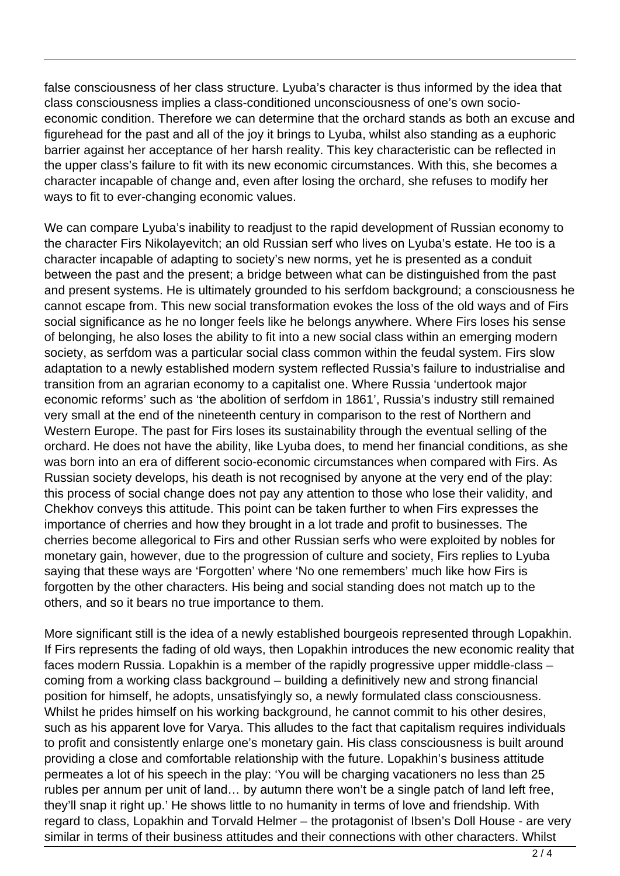false consciousness of her class structure. Lyuba's character is thus informed by the idea that class consciousness implies a class-conditioned unconsciousness of one's own socioeconomic condition. Therefore we can determine that the orchard stands as both an excuse and figurehead for the past and all of the joy it brings to Lyuba, whilst also standing as a euphoric barrier against her acceptance of her harsh reality. This key characteristic can be reflected in the upper class's failure to fit with its new economic circumstances. With this, she becomes a character incapable of change and, even after losing the orchard, she refuses to modify her ways to fit to ever-changing economic values.

We can compare Lyuba's inability to readjust to the rapid development of Russian economy to the character Firs Nikolayevitch; an old Russian serf who lives on Lyuba's estate. He too is a character incapable of adapting to society's new norms, yet he is presented as a conduit between the past and the present; a bridge between what can be distinguished from the past and present systems. He is ultimately grounded to his serfdom background; a consciousness he cannot escape from. This new social transformation evokes the loss of the old ways and of Firs social significance as he no longer feels like he belongs anywhere. Where Firs loses his sense of belonging, he also loses the ability to fit into a new social class within an emerging modern society, as serfdom was a particular social class common within the feudal system. Firs slow adaptation to a newly established modern system reflected Russia's failure to industrialise and transition from an agrarian economy to a capitalist one. Where Russia 'undertook major economic reforms' such as 'the abolition of serfdom in 1861', Russia's industry still remained very small at the end of the nineteenth century in comparison to the rest of Northern and Western Europe. The past for Firs loses its sustainability through the eventual selling of the orchard. He does not have the ability, like Lyuba does, to mend her financial conditions, as she was born into an era of different socio-economic circumstances when compared with Firs. As Russian society develops, his death is not recognised by anyone at the very end of the play: this process of social change does not pay any attention to those who lose their validity, and Chekhov conveys this attitude. This point can be taken further to when Firs expresses the importance of cherries and how they brought in a lot trade and profit to businesses. The cherries become allegorical to Firs and other Russian serfs who were exploited by nobles for monetary gain, however, due to the progression of culture and society, Firs replies to Lyuba saying that these ways are 'Forgotten' where 'No one remembers' much like how Firs is forgotten by the other characters. His being and social standing does not match up to the others, and so it bears no true importance to them.

More significant still is the idea of a newly established bourgeois represented through Lopakhin. If Firs represents the fading of old ways, then Lopakhin introduces the new economic reality that faces modern Russia. Lopakhin is a member of the rapidly progressive upper middle-class – coming from a working class background – building a definitively new and strong financial position for himself, he adopts, unsatisfyingly so, a newly formulated class consciousness. Whilst he prides himself on his working background, he cannot commit to his other desires, such as his apparent love for Varya. This alludes to the fact that capitalism requires individuals to profit and consistently enlarge one's monetary gain. His class consciousness is built around providing a close and comfortable relationship with the future. Lopakhin's business attitude permeates a lot of his speech in the play: 'You will be charging vacationers no less than 25 rubles per annum per unit of land… by autumn there won't be a single patch of land left free, they'll snap it right up.' He shows little to no humanity in terms of love and friendship. With regard to class, Lopakhin and Torvald Helmer – the protagonist of Ibsen's Doll House - are very similar in terms of their business attitudes and their connections with other characters. Whilst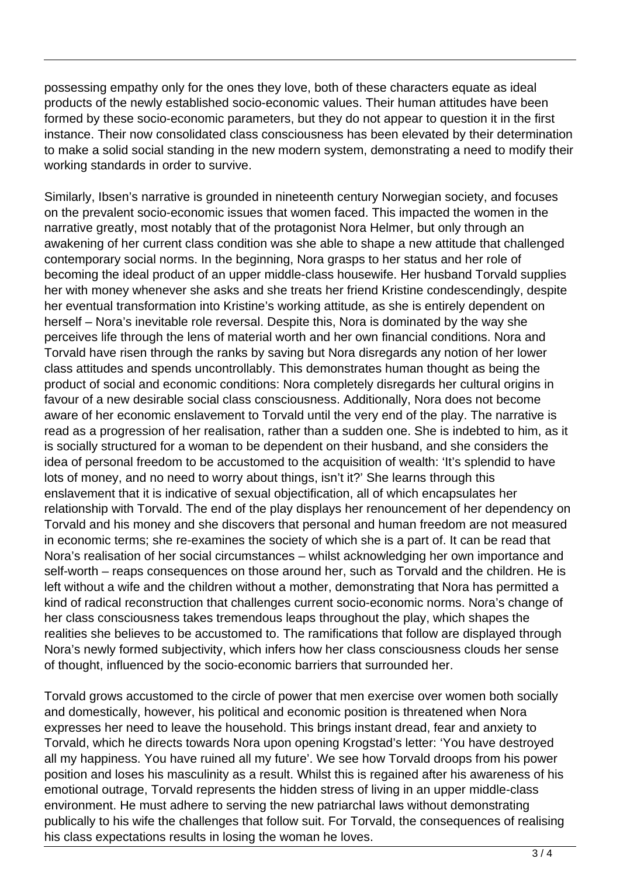possessing empathy only for the ones they love, both of these characters equate as ideal products of the newly established socio-economic values. Their human attitudes have been formed by these socio-economic parameters, but they do not appear to question it in the first instance. Their now consolidated class consciousness has been elevated by their determination to make a solid social standing in the new modern system, demonstrating a need to modify their working standards in order to survive.

Similarly, Ibsen's narrative is grounded in nineteenth century Norwegian society, and focuses on the prevalent socio-economic issues that women faced. This impacted the women in the narrative greatly, most notably that of the protagonist Nora Helmer, but only through an awakening of her current class condition was she able to shape a new attitude that challenged contemporary social norms. In the beginning, Nora grasps to her status and her role of becoming the ideal product of an upper middle-class housewife. Her husband Torvald supplies her with money whenever she asks and she treats her friend Kristine condescendingly, despite her eventual transformation into Kristine's working attitude, as she is entirely dependent on herself – Nora's inevitable role reversal. Despite this, Nora is dominated by the way she perceives life through the lens of material worth and her own financial conditions. Nora and Torvald have risen through the ranks by saving but Nora disregards any notion of her lower class attitudes and spends uncontrollably. This demonstrates human thought as being the product of social and economic conditions: Nora completely disregards her cultural origins in favour of a new desirable social class consciousness. Additionally, Nora does not become aware of her economic enslavement to Torvald until the very end of the play. The narrative is read as a progression of her realisation, rather than a sudden one. She is indebted to him, as it is socially structured for a woman to be dependent on their husband, and she considers the idea of personal freedom to be accustomed to the acquisition of wealth: 'It's splendid to have lots of money, and no need to worry about things, isn't it?' She learns through this enslavement that it is indicative of sexual objectification, all of which encapsulates her relationship with Torvald. The end of the play displays her renouncement of her dependency on Torvald and his money and she discovers that personal and human freedom are not measured in economic terms; she re-examines the society of which she is a part of. It can be read that Nora's realisation of her social circumstances – whilst acknowledging her own importance and self-worth – reaps consequences on those around her, such as Torvald and the children. He is left without a wife and the children without a mother, demonstrating that Nora has permitted a kind of radical reconstruction that challenges current socio-economic norms. Nora's change of her class consciousness takes tremendous leaps throughout the play, which shapes the realities she believes to be accustomed to. The ramifications that follow are displayed through Nora's newly formed subjectivity, which infers how her class consciousness clouds her sense of thought, influenced by the socio-economic barriers that surrounded her.

Torvald grows accustomed to the circle of power that men exercise over women both socially and domestically, however, his political and economic position is threatened when Nora expresses her need to leave the household. This brings instant dread, fear and anxiety to Torvald, which he directs towards Nora upon opening Krogstad's letter: 'You have destroyed all my happiness. You have ruined all my future'. We see how Torvald droops from his power position and loses his masculinity as a result. Whilst this is regained after his awareness of his emotional outrage, Torvald represents the hidden stress of living in an upper middle-class environment. He must adhere to serving the new patriarchal laws without demonstrating publically to his wife the challenges that follow suit. For Torvald, the consequences of realising his class expectations results in losing the woman he loves.